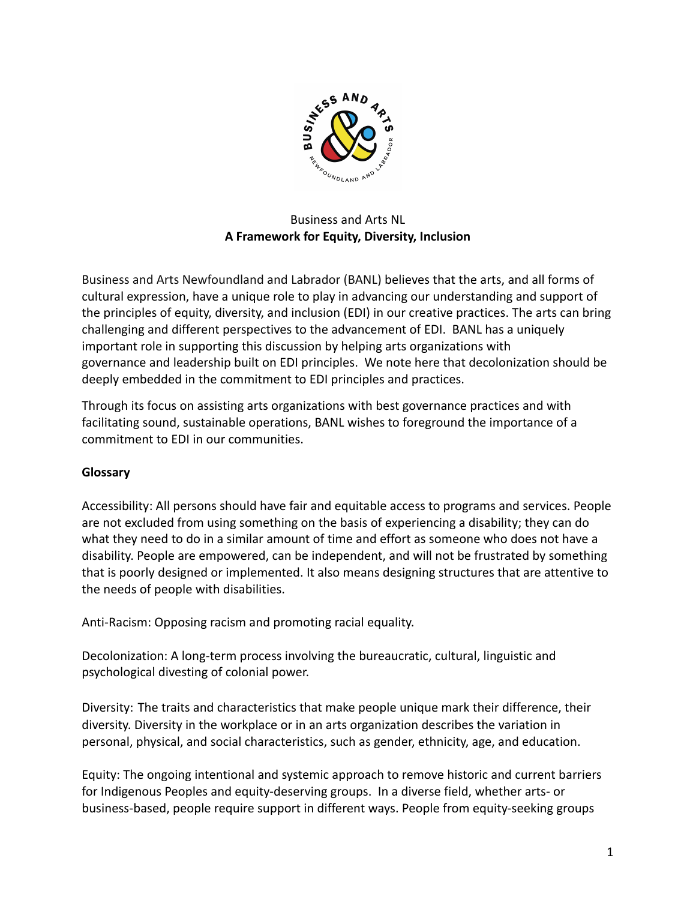

# Business and Arts NL **A Framework for Equity, Diversity, Inclusion**

Business and Arts Newfoundland and Labrador (BANL) believes that the arts, and all forms of cultural expression, have a unique role to play in advancing our understanding and support of the principles of equity, diversity, and inclusion (EDI) in our creative practices. The arts can bring challenging and different perspectives to the advancement of EDI. BANL has a uniquely important role in supporting this discussion by helping arts organizations with governance and leadership built on EDI principles. We note here that decolonization should be deeply embedded in the commitment to EDI principles and practices.

Through its focus on assisting arts organizations with best governance practices and with facilitating sound, sustainable operations, BANL wishes to foreground the importance of a commitment to EDI in our communities.

## **Glossary**

Accessibility: All persons should have fair and equitable access to programs and services. People are not excluded from using something on the basis of experiencing a disability; they can do what they need to do in a similar amount of time and effort as someone who does not have a disability. People are empowered, can be independent, and will not be frustrated by something that is poorly designed or implemented. It also means designing structures that are attentive to the needs of people with disabilities.

Anti-Racism: Opposing racism and promoting racial equality.

Decolonization: A long-term process involving the bureaucratic, cultural, linguistic and psychological divesting of colonial power.

Diversity: The traits and characteristics that make people unique mark their difference, their diversity. Diversity in the workplace or in an arts organization describes the variation in personal, physical, and social characteristics, such as gender, ethnicity, age, and education.

Equity: The ongoing intentional and systemic approach to remove historic and current barriers for Indigenous Peoples and equity-deserving groups. In a diverse field, whether arts- or business-based, people require support in different ways. People from equity-seeking groups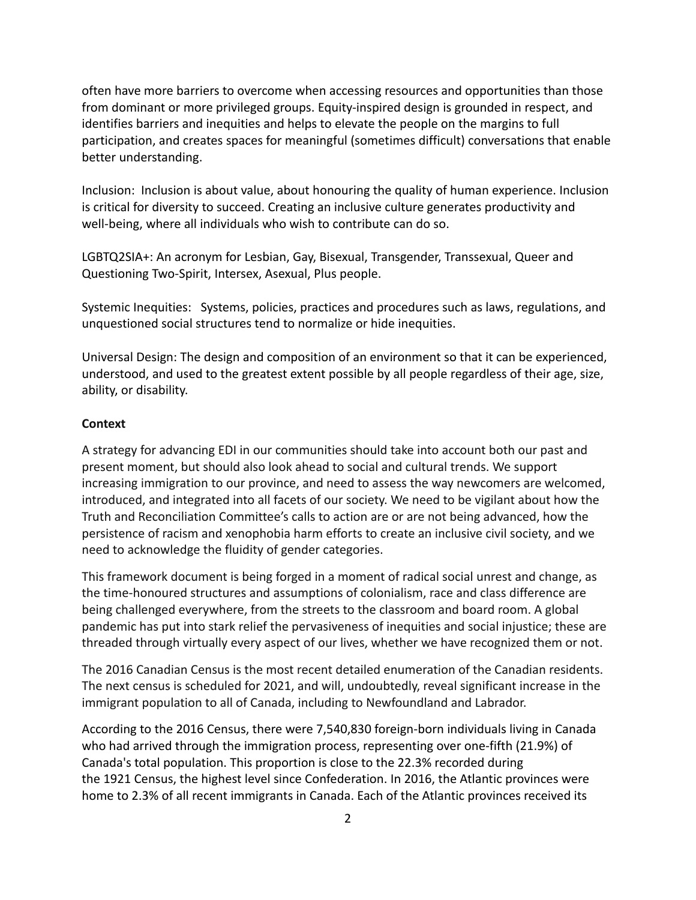often have more barriers to overcome when accessing resources and opportunities than those from dominant or more privileged groups. Equity-inspired design is grounded in respect, and identifies barriers and inequities and helps to elevate the people on the margins to full participation, and creates spaces for meaningful (sometimes difficult) conversations that enable better understanding.

Inclusion: Inclusion is about value, about honouring the quality of human experience. Inclusion is critical for diversity to succeed. Creating an inclusive culture generates productivity and well-being, where all individuals who wish to contribute can do so.

LGBTQ2SIA+: An acronym for Lesbian, Gay, Bisexual, Transgender, Transsexual, Queer and Questioning Two-Spirit, Intersex, Asexual, Plus people.

Systemic Inequities: Systems, policies, practices and procedures such as laws, regulations, and unquestioned social structures tend to normalize or hide inequities.

Universal Design: The design and composition of an environment so that it can be experienced, understood, and used to the greatest extent possible by all people regardless of their age, size, ability, or disability.

#### **Context**

A strategy for advancing EDI in our communities should take into account both our past and present moment, but should also look ahead to social and cultural trends. We support increasing immigration to our province, and need to assess the way newcomers are welcomed, introduced, and integrated into all facets of our society. We need to be vigilant about how the Truth and Reconciliation Committee's calls to action are or are not being advanced, how the persistence of racism and xenophobia harm efforts to create an inclusive civil society, and we need to acknowledge the fluidity of gender categories.

This framework document is being forged in a moment of radical social unrest and change, as the time-honoured structures and assumptions of colonialism, race and class difference are being challenged everywhere, from the streets to the classroom and board room. A global pandemic has put into stark relief the pervasiveness of inequities and social injustice; these are threaded through virtually every aspect of our lives, whether we have recognized them or not.

The 2016 Canadian Census is the most recent detailed enumeration of the Canadian residents. The next census is scheduled for 2021, and will, undoubtedly, reveal significant increase in the immigrant population to all of Canada, including to Newfoundland and Labrador.

According to the 2016 Census, there were 7,540,830 foreign-born individuals living in Canada who had arrived through the immigration process, representing over one-fifth (21.9%) of Canada's total population. This proportion is close to the 22.3% recorded during the 1921 Census, the highest level since Confederation. In 2016, the Atlantic provinces were home to 2.3% of all recent immigrants in Canada. Each of the Atlantic provinces received its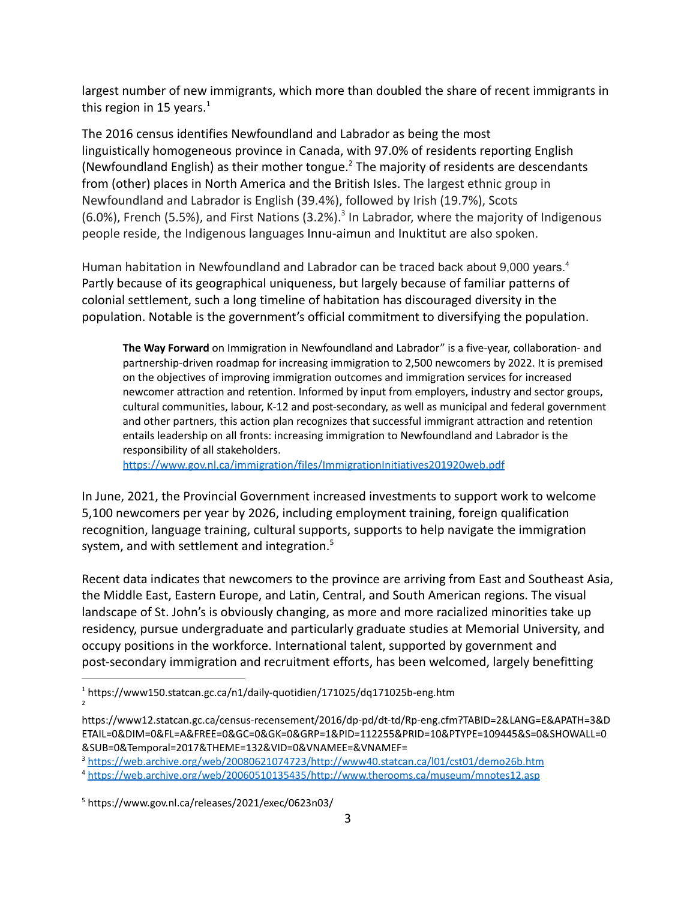largest number of new immigrants, which more than doubled the share of recent immigrants in this region in 15 years. $<sup>1</sup>$ </sup>

The 2016 census identifies Newfoundland and Labrador as being the most linguistically homogeneous province in Canada, with 97.0% of residents reporting English (Newfoundland English) as their mother tongue.<sup>2</sup> The majority of residents are descendants from (other) places in North America and the British Isles. The largest ethnic group in Newfoundland and Labrador is English (39.4%), followed by Irish (19.7%), Scots (6.0%), French (5.5%), and First Nations (3.2%).<sup>3</sup> In Labrador, where the majority of Indigenous people reside, the Indigenous languages Innu-aimun and Inuktitut are also spoken.

Human habitation in Newfoundland and Labrador can be traced back about 9,000 years.<sup>4</sup> Partly because of its geographical uniqueness, but largely because of familiar patterns of colonial settlement, such a long timeline of habitation has discouraged diversity in the population. Notable is the government's official commitment to diversifying the population.

**The Way Forward** on Immigration in Newfoundland and Labrador" is a five-year, collaboration- and partnership-driven roadmap for increasing immigration to 2,500 newcomers by 2022. It is premised on the objectives of improving immigration outcomes and immigration services for increased newcomer attraction and retention. Informed by input from employers, industry and sector groups, cultural communities, labour, K-12 and post-secondary, as well as municipal and federal government and other partners, this action plan recognizes that successful immigrant attraction and retention entails leadership on all fronts: increasing immigration to Newfoundland and Labrador is the responsibility of all stakeholders.

<https://www.gov.nl.ca/immigration/files/ImmigrationInitiatives201920web.pdf>

In June, 2021, the Provincial Government increased investments to support work to welcome 5,100 newcomers per year by 2026, including employment training, foreign qualification recognition, language training, cultural supports, supports to help navigate the immigration system, and with settlement and integration.<sup>5</sup>

Recent data indicates that newcomers to the province are arriving from East and Southeast Asia, the Middle East, Eastern Europe, and Latin, Central, and South American regions. The visual landscape of St. John's is obviously changing, as more and more racialized minorities take up residency, pursue undergraduate and particularly graduate studies at Memorial University, and occupy positions in the workforce. International talent, supported by government and post-secondary immigration and recruitment efforts, has been welcomed, largely benefitting

<sup>2</sup> <sup>1</sup> https://www150.statcan.gc.ca/n1/daily-quotidien/171025/dq171025b-eng.htm

https://www12.statcan.gc.ca/census-recensement/2016/dp-pd/dt-td/Rp-eng.cfm?TABID=2&LANG=E&APATH=3&D ETAIL=0&DIM=0&FL=A&FREE=0&GC=0&GK=0&GRP=1&PID=112255&PRID=10&PTYPE=109445&S=0&SHOWALL=0 &SUB=0&Temporal=2017&THEME=132&VID=0&VNAMEE=&VNAMEF=

<sup>3</sup> <https://web.archive.org/web/20080621074723/http://www40.statcan.ca/l01/cst01/demo26b.htm>

<sup>4</sup> <https://web.archive.org/web/20060510135435/http://www.therooms.ca/museum/mnotes12.asp>

<sup>5</sup> https://www.gov.nl.ca/releases/2021/exec/0623n03/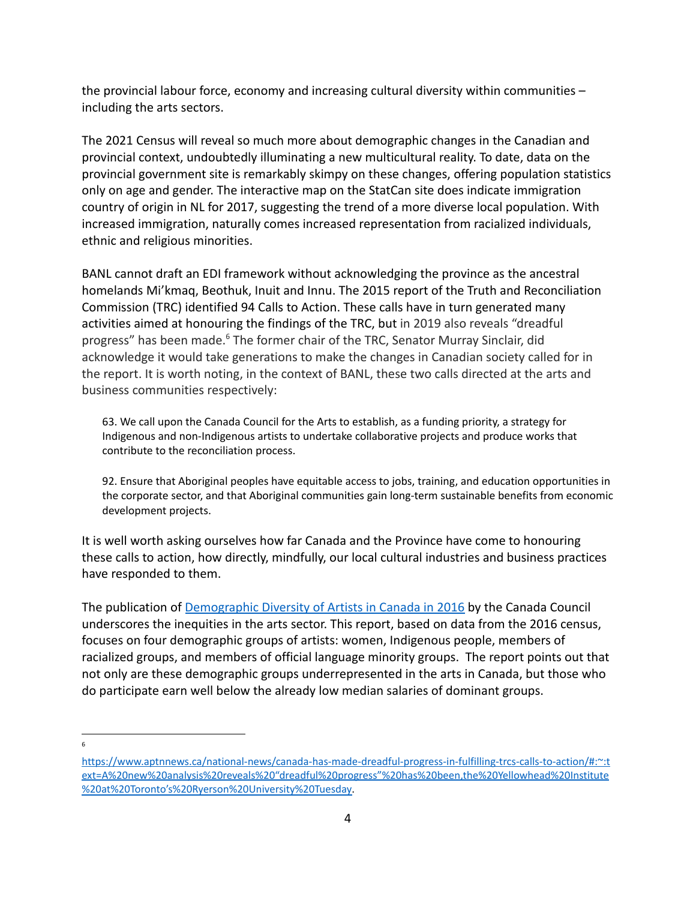the provincial labour force, economy and increasing cultural diversity within communities – including the arts sectors.

The 2021 Census will reveal so much more about demographic changes in the Canadian and provincial context, undoubtedly illuminating a new multicultural reality. To date, data on the provincial government site is remarkably skimpy on these changes, offering population statistics only on age and gender. The interactive map on the StatCan site does indicate immigration country of origin in NL for 2017, suggesting the trend of a more diverse local population. With increased immigration, naturally comes increased representation from racialized individuals, ethnic and religious minorities.

BANL cannot draft an EDI framework without acknowledging the province as the ancestral homelands Mi'kmaq, Beothuk, Inuit and Innu. The 2015 report of the Truth and Reconciliation Commission (TRC) identified 94 Calls to Action. These calls have in turn generated many activities aimed at honouring the findings of the TRC, but in 2019 also reveals "dreadful progress" has been made.<sup>6</sup> The former chair of the TRC, Senator Murray Sinclair, did acknowledge it would take generations to make the changes in Canadian society called for in the report. It is worth noting, in the context of BANL, these two calls directed at the arts and business communities respectively:

63. We call upon the Canada Council for the Arts to establish, as a funding priority, a strategy for Indigenous and non-Indigenous artists to undertake collaborative projects and produce works that contribute to the reconciliation process.

92. Ensure that Aboriginal peoples have equitable access to jobs, training, and education opportunities in the corporate sector, and that Aboriginal communities gain long-term sustainable benefits from economic development projects.

It is well worth asking ourselves how far Canada and the Province have come to honouring these calls to action, how directly, mindfully, our local cultural industries and business practices have responded to them.

The publication of [Demographic Diversity of Artists](https://canadacouncil.ca/-/media/Files/CCA/Research/2020/01/SIA51_Artists_diversity2016.pdf) in Canada in 2016 by the Canada Council underscores the inequities in the arts sector. This report, based on data from the 2016 census, focuses on four demographic groups of artists: women, Indigenous people, members of racialized groups, and members of official language minority groups. The report points out that not only are these demographic groups underrepresented in the arts in Canada, but those who do participate earn well below the already low median salaries of dominant groups.

6

[https://www.aptnnews.ca/national-news/canada-has-made-dreadful-progress-in-fulfilling-trcs-calls-to-action/#:~:t](https://www.aptnnews.ca/national-news/canada-has-made-dreadful-progress-in-fulfilling-trcs-calls-to-action/#:~:text=A%20new%20analysis%20reveals%20) [ext=A%20new%20analysis%20reveals%20"dreadful%20progress"%20has%20been,the%20Yellowhead%20Institute](https://www.aptnnews.ca/national-news/canada-has-made-dreadful-progress-in-fulfilling-trcs-calls-to-action/#:~:text=A%20new%20analysis%20reveals%20) [%20at%20Toronto's%20Ryerson%20University%20Tuesday.](https://www.aptnnews.ca/national-news/canada-has-made-dreadful-progress-in-fulfilling-trcs-calls-to-action/#:~:text=A%20new%20analysis%20reveals%20)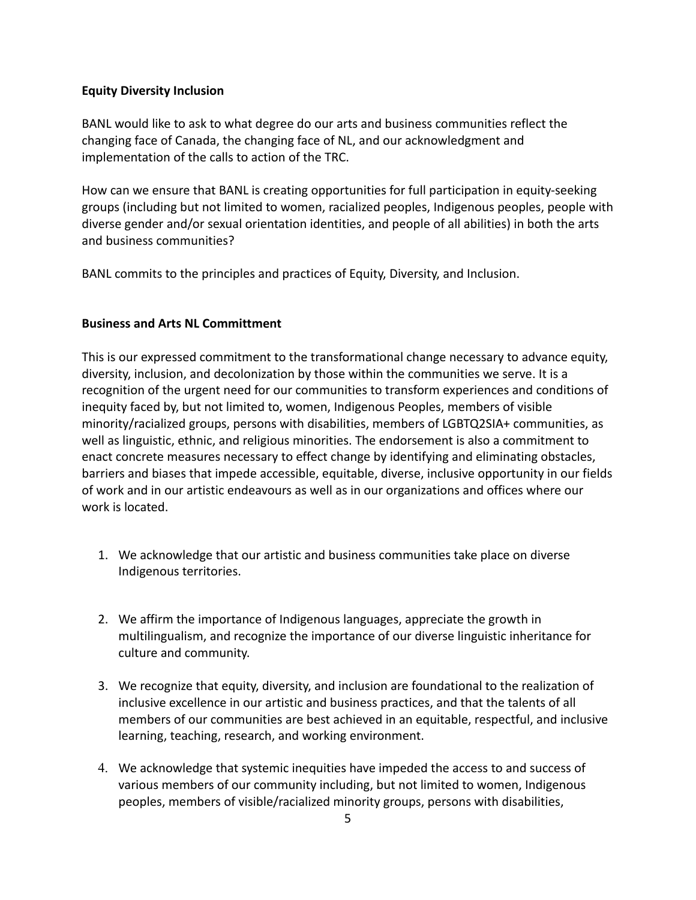### **Equity Diversity Inclusion**

BANL would like to ask to what degree do our arts and business communities reflect the changing face of Canada, the changing face of NL, and our acknowledgment and implementation of the calls to action of the TRC.

How can we ensure that BANL is creating opportunities for full participation in equity-seeking groups (including but not limited to women, racialized peoples, Indigenous peoples, people with diverse gender and/or sexual orientation identities, and people of all abilities) in both the arts and business communities?

BANL commits to the principles and practices of Equity, Diversity, and Inclusion.

### **Business and Arts NL Committment**

This is our expressed commitment to the transformational change necessary to advance equity, diversity, inclusion, and decolonization by those within the communities we serve. It is a recognition of the urgent need for our communities to transform experiences and conditions of inequity faced by, but not limited to, women, Indigenous Peoples, members of visible minority/racialized groups, persons with disabilities, members of LGBTQ2SIA+ communities, as well as linguistic, ethnic, and religious minorities. The endorsement is also a commitment to enact concrete measures necessary to effect change by identifying and eliminating obstacles, barriers and biases that impede accessible, equitable, diverse, inclusive opportunity in our fields of work and in our artistic endeavours as well as in our organizations and offices where our work is located.

- 1. We acknowledge that our artistic and business communities take place on diverse Indigenous territories.
- 2. We affirm the importance of Indigenous languages, appreciate the growth in multilingualism, and recognize the importance of our diverse linguistic inheritance for culture and community.
- 3. We recognize that equity, diversity, and inclusion are foundational to the realization of inclusive excellence in our artistic and business practices, and that the talents of all members of our communities are best achieved in an equitable, respectful, and inclusive learning, teaching, research, and working environment.
- 4. We acknowledge that systemic inequities have impeded the access to and success of various members of our community including, but not limited to women, Indigenous peoples, members of visible/racialized minority groups, persons with disabilities,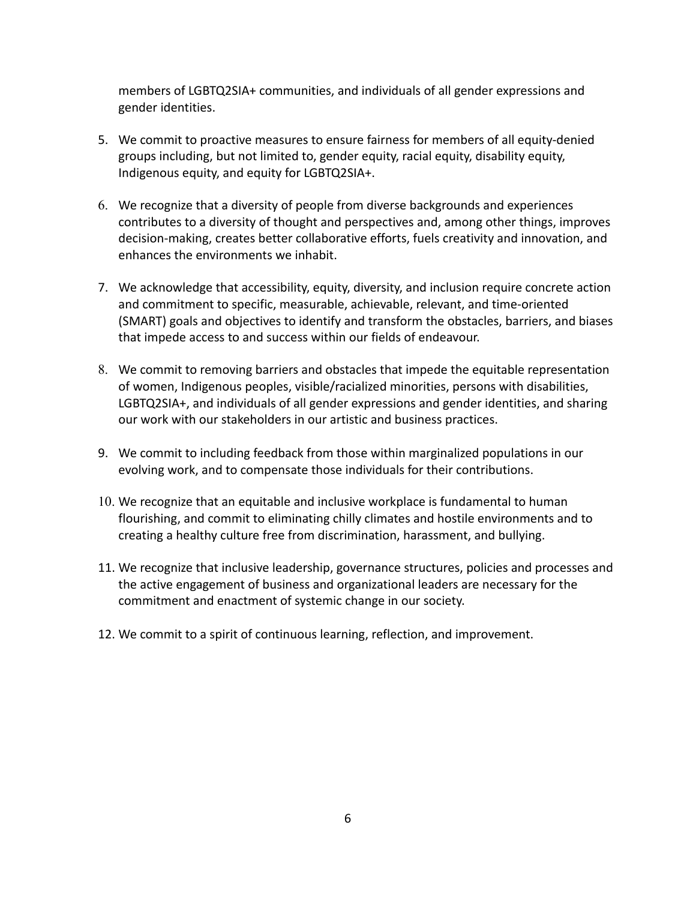members of LGBTQ2SIA+ communities, and individuals of all gender expressions and gender identities.

- 5. We commit to proactive measures to ensure fairness for members of all equity-denied groups including, but not limited to, gender equity, racial equity, disability equity, Indigenous equity, and equity for LGBTQ2SIA+.
- 6. We recognize that a diversity of people from diverse backgrounds and experiences contributes to a diversity of thought and perspectives and, among other things, improves decision-making, creates better collaborative efforts, fuels creativity and innovation, and enhances the environments we inhabit.
- 7. We acknowledge that accessibility, equity, diversity, and inclusion require concrete action and commitment to specific, measurable, achievable, relevant, and time-oriented (SMART) goals and objectives to identify and transform the obstacles, barriers, and biases that impede access to and success within our fields of endeavour.
- 8. We commit to removing barriers and obstacles that impede the equitable representation of women, Indigenous peoples, visible/racialized minorities, persons with disabilities, LGBTQ2SIA+, and individuals of all gender expressions and gender identities, and sharing our work with our stakeholders in our artistic and business practices.
- 9. We commit to including feedback from those within marginalized populations in our evolving work, and to compensate those individuals for their contributions.
- 10. We recognize that an equitable and inclusive workplace is fundamental to human flourishing, and commit to eliminating chilly climates and hostile environments and to creating a healthy culture free from discrimination, harassment, and bullying.
- 11. We recognize that inclusive leadership, governance structures, policies and processes and the active engagement of business and organizational leaders are necessary for the commitment and enactment of systemic change in our society.
- 12. We commit to a spirit of continuous learning, reflection, and improvement.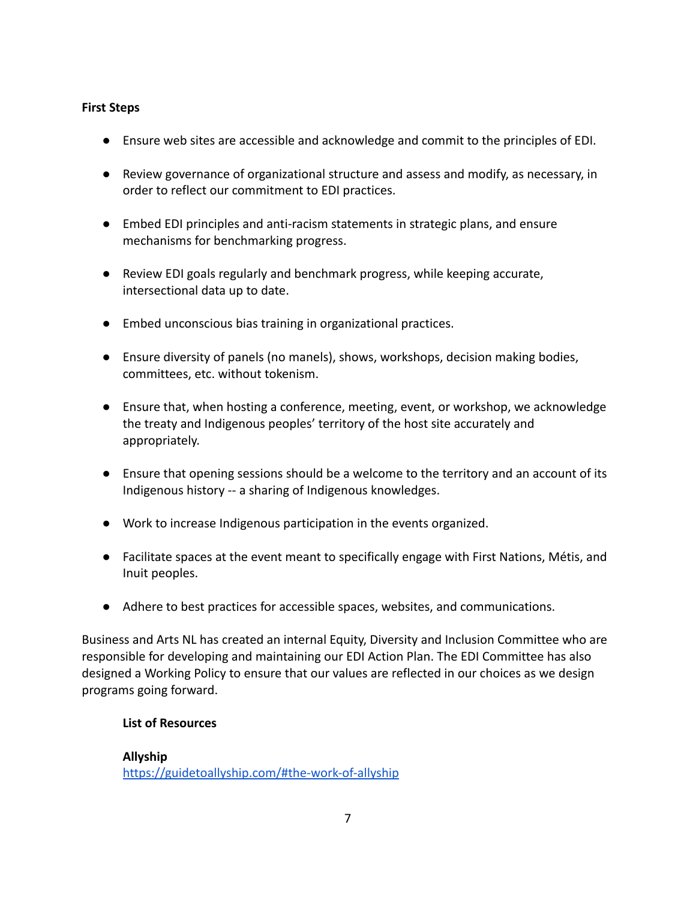## **First Steps**

- Ensure web sites are accessible and acknowledge and commit to the principles of EDI.
- Review governance of organizational structure and assess and modify, as necessary, in order to reflect our commitment to EDI practices.
- Embed EDI principles and anti-racism statements in strategic plans, and ensure mechanisms for benchmarking progress.
- Review EDI goals regularly and benchmark progress, while keeping accurate, intersectional data up to date.
- Embed unconscious bias training in organizational practices.
- Ensure diversity of panels (no manels), shows, workshops, decision making bodies, committees, etc. without tokenism.
- Ensure that, when hosting a conference, meeting, event, or workshop, we acknowledge the treaty and Indigenous peoples' territory of the host site accurately and appropriately.
- Ensure that opening sessions should be a welcome to the territory and an account of its Indigenous history -- a sharing of Indigenous knowledges.
- Work to increase Indigenous participation in the events organized.
- Facilitate spaces at the event meant to specifically engage with First Nations, Métis, and Inuit peoples.
- Adhere to best practices for accessible spaces, websites, and communications.

Business and Arts NL has created an internal Equity, Diversity and Inclusion Committee who are responsible for developing and maintaining our EDI Action Plan. The EDI Committee has also designed a Working Policy to ensure that our values are reflected in our choices as we design programs going forward.

## **List of Resources**

### **Allyship** <https://guidetoallyship.com/#the-work-of-allyship>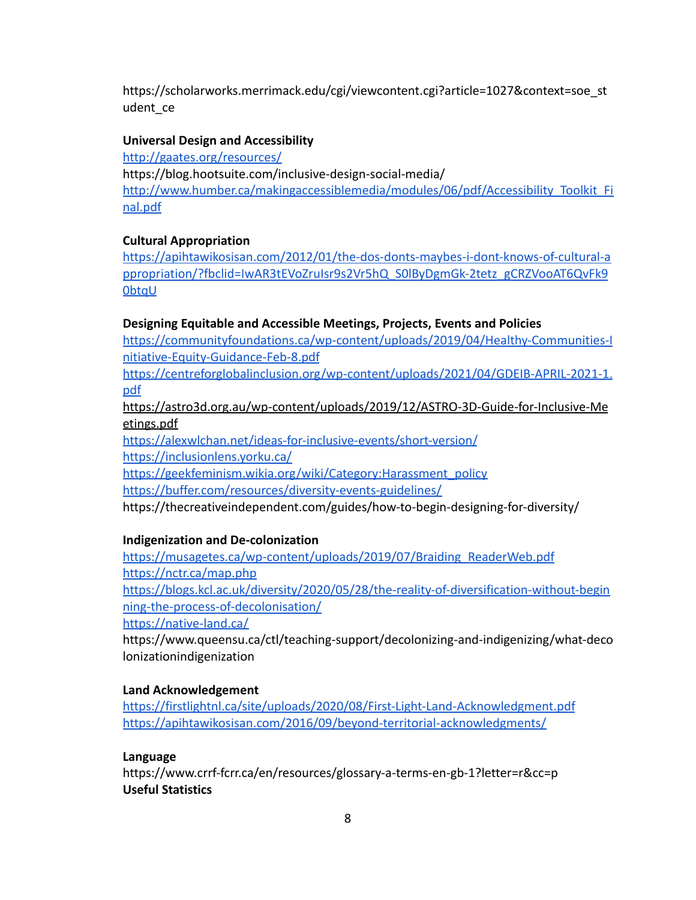https://scholarworks.merrimack.edu/cgi/viewcontent.cgi?article=1027&context=soe\_st udent\_ce

#### **Universal Design and Accessibility**

<http://gaates.org/resources/> https://blog.hootsuite.com/inclusive-design-social-media/ [http://www.humber.ca/makingaccessiblemedia/modules/06/pdf/Accessibility\\_Toolkit\\_Fi](http://www.humber.ca/makingaccessiblemedia/modules/06/pdf/Accessibility_Toolkit_Final.pdf) [nal.pdf](http://www.humber.ca/makingaccessiblemedia/modules/06/pdf/Accessibility_Toolkit_Final.pdf)

#### **Cultural Appropriation**

https://apihtawikosisan.com/2012/01/the-dos-donts-maybes-i-dont-knows-of-cultural-a ppropriation/?fbclid=IwAR3tEVoZruIsr9s2Vr5hQ\_S0lByDgmGk-2tetz\_gCRZVooAT6QvFk9 0btqU

#### **Designing Equitable and Accessible Meetings, Projects, Events and Policies**

[https://communityfoundations.ca/wp-content/uploads/2019/04/Healthy-Communities-I](https://communityfoundations.ca/wp-content/uploads/2019/04/Healthy-Communities-Initiative-Equity-Guidance-Feb-8.pdf) [nitiative-Equity-Guidance-Feb-8.pdf](https://communityfoundations.ca/wp-content/uploads/2019/04/Healthy-Communities-Initiative-Equity-Guidance-Feb-8.pdf)

[https://centreforglobalinclusion.org/wp-content/uploads/2021/04/GDEIB-APRIL-2021-1.](https://centreforglobalinclusion.org/wp-content/uploads/2021/04/GDEIB-APRIL-2021-1.pdf) [pdf](https://centreforglobalinclusion.org/wp-content/uploads/2021/04/GDEIB-APRIL-2021-1.pdf)

https://astro3d.org.au/wp-content/uploads/2019/12/ASTRO-3D-Guide-for-Inclusive-Me etings.pdf

<https://alexwlchan.net/ideas-for-inclusive-events/short-version/> <https://inclusionlens.yorku.ca/>

[https://geekfeminism.wikia.org/wiki/Category:Harassment\\_policy](https://geekfeminism.wikia.org/wiki/Category:Harassment_policy) <https://buffer.com/resources/diversity-events-guidelines/>

https://thecreativeindependent.com/guides/how-to-begin-designing-for-diversity/

### **Indigenization and De-colonization**

[https://musagetes.ca/wp-content/uploads/2019/07/Braiding\\_ReaderWeb.pdf](https://musagetes.ca/wp-content/uploads/2019/07/Braiding_ReaderWeb.pdf) <https://nctr.ca/map.php> [https://blogs.kcl.ac.uk/diversity/2020/05/28/the-reality-of-diversification-without-begin](https://blogs.kcl.ac.uk/diversity/2020/05/28/the-reality-of-diversification-without-beginning-the-process-of-decolonisation/) [ning-the-process-of-decolonisation/](https://blogs.kcl.ac.uk/diversity/2020/05/28/the-reality-of-diversification-without-beginning-the-process-of-decolonisation/)

<https://native-land.ca/>

https://www.queensu.ca/ctl/teaching-support/decolonizing-and-indigenizing/what-deco lonizationindigenization

#### **Land Acknowledgement**

<https://firstlightnl.ca/site/uploads/2020/08/First-Light-Land-Acknowledgment.pdf> <https://apihtawikosisan.com/2016/09/beyond-territorial-acknowledgments/>

#### **Language**

https://www.crrf-fcrr.ca/en/resources/glossary-a-terms-en-gb-1?letter=r&cc=p **Useful Statistics**